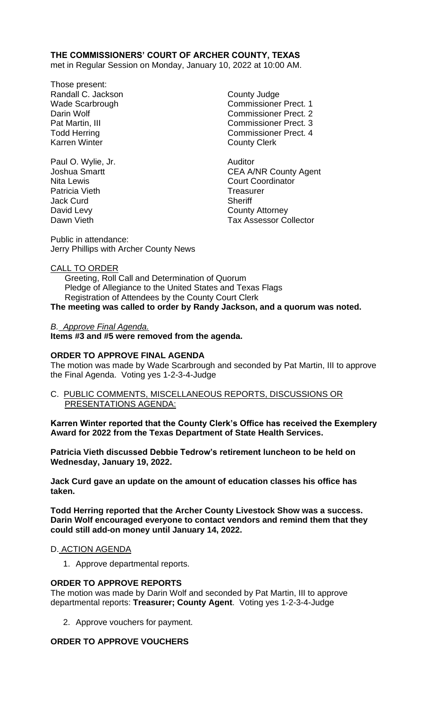## **THE COMMISSIONERS' COURT OF ARCHER COUNTY, TEXAS**

met in Regular Session on Monday, January 10, 2022 at 10:00 AM.

- Those present: Randall C. Jackson County Judge Karren Winter **County Clerk**
- Paul O. Wylie, Jr. **Auditor** Auditor Patricia Vieth Treasurer Jack Curd **Sheriff** David Levy **County Attorney**

Wade Scarbrough Commissioner Prect. 1 Darin Wolf **Commissioner Prect.** 2 Pat Martin, III Commissioner Prect. 3 Todd Herring Todd Exercise Commissioner Prect. 4

Joshua Smartt **CEA A/NR County Agent** Nita Lewis **Court Coordinator** Court Coordinator Dawn Vieth Tax Assessor Collector

Public in attendance: Jerry Phillips with Archer County News

#### CALL TO ORDER

 Greeting, Roll Call and Determination of Quorum Pledge of Allegiance to the United States and Texas Flags Registration of Attendees by the County Court Clerk

**The meeting was called to order by Randy Jackson, and a quorum was noted.**

#### *B. Approve Final Agenda.*

**Items #3 and #5 were removed from the agenda.**

#### **ORDER TO APPROVE FINAL AGENDA**

The motion was made by Wade Scarbrough and seconded by Pat Martin, III to approve the Final Agenda. Voting yes 1-2-3-4-Judge

C. PUBLIC COMMENTS, MISCELLANEOUS REPORTS, DISCUSSIONS OR PRESENTATIONS AGENDA:

**Karren Winter reported that the County Clerk's Office has received the Exemplery Award for 2022 from the Texas Department of State Health Services.**

**Patricia Vieth discussed Debbie Tedrow's retirement luncheon to be held on Wednesday, January 19, 2022.**

**Jack Curd gave an update on the amount of education classes his office has taken.**

**Todd Herring reported that the Archer County Livestock Show was a success. Darin Wolf encouraged everyone to contact vendors and remind them that they could still add-on money until January 14, 2022.**

#### D. ACTION AGENDA

1. Approve departmental reports.

#### **ORDER TO APPROVE REPORTS**

The motion was made by Darin Wolf and seconded by Pat Martin, III to approve departmental reports: **Treasurer; County Agent**. Voting yes 1-2-3-4-Judge

2. Approve vouchers for payment.

#### **ORDER TO APPROVE VOUCHERS**